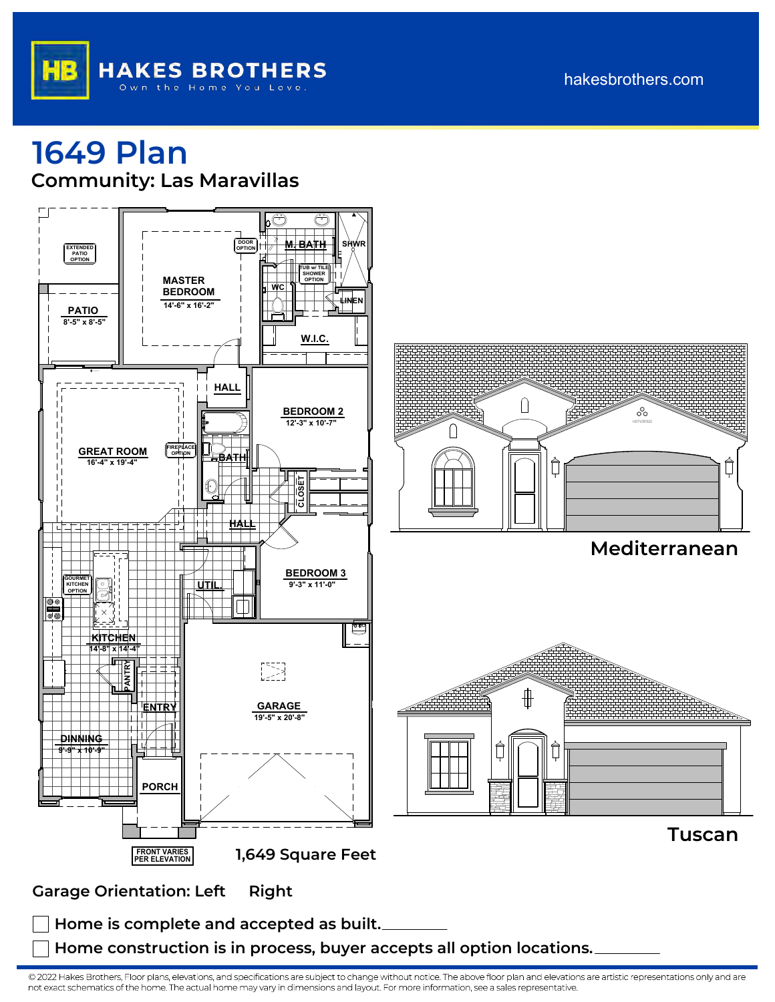

## hakesbrothers.com

## **1649 Plan Community: Las Maravillas**



**Home is complete and accepted as built.**

**Home construction is in process, buyer accepts all option locations.**

© 2022 Hakes Brothers, Floor plans, elevations, and specifications are subject to change without notice. The above floor plan and elevations are artistic representations only and are not exact schematics of the home. The actual home may vary in dimensions and layout. For more information, see a sales representative.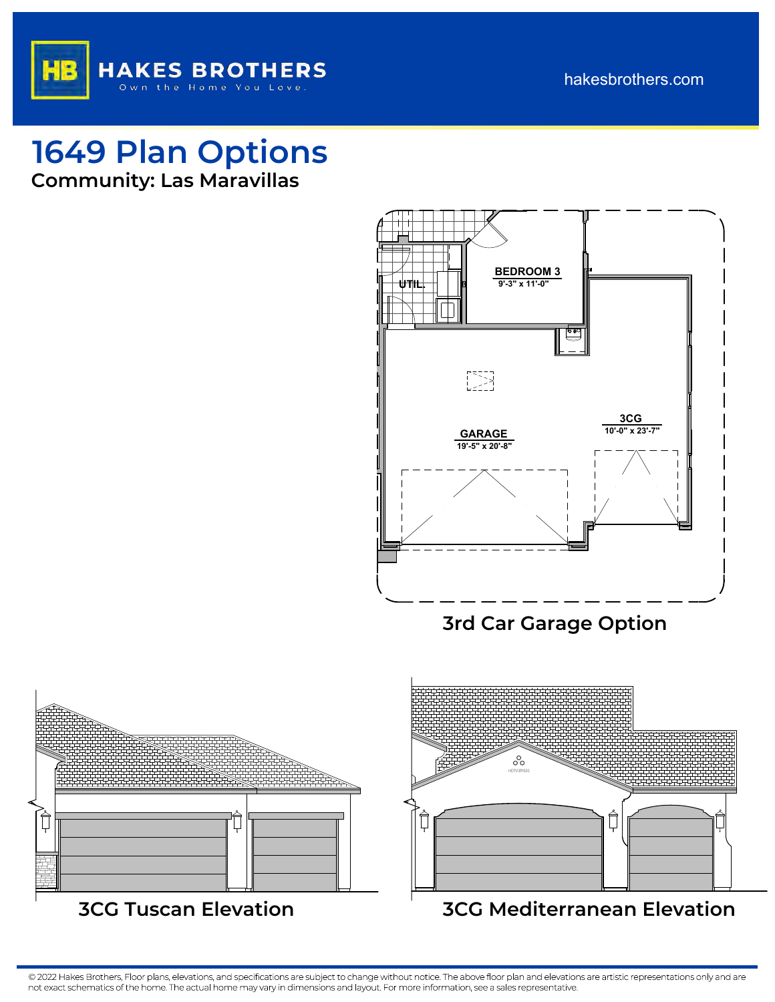



**1649 Plan Options Community: Las Maravillas**



**3rd Car Garage Option**



© 2022 Hakes Brothers, Floor plans, elevations, and specifications are subject to change without notice. The above floor plan and elevations are artistic representations only and are not exact schematics of the home. The actual home may vary in dimensions and layout. For more information, see a sales representative.